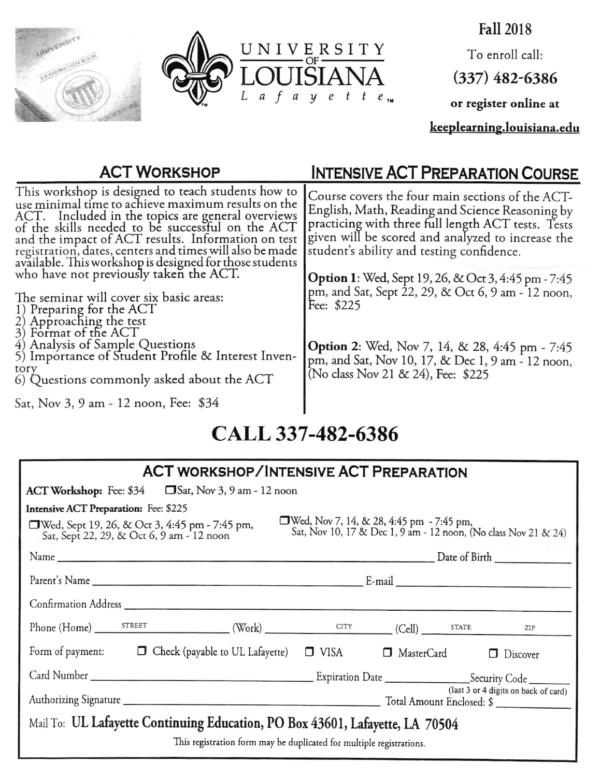



**Fall 2018** To enroll call:  $(337)$  482-6386 or register online at

keeplearning.louisiana.edu

| <b>ACT WORKSHOP</b>                                                                                                                                                                                                                                                                                                                                                                            | INTENSIVE ACT PREPARATION COURSE                                                                                                                                                                                                                            |
|------------------------------------------------------------------------------------------------------------------------------------------------------------------------------------------------------------------------------------------------------------------------------------------------------------------------------------------------------------------------------------------------|-------------------------------------------------------------------------------------------------------------------------------------------------------------------------------------------------------------------------------------------------------------|
| This workshop is designed to teach students how to<br>use minimal time to achieve maximum results on the<br>ACT. Included in the topics are general overviews<br>of the skills needed to be successful on the ACT<br>and the impact of ACT results. Information on test<br>registration, dates, centers and times will also be made<br>available. This workshop is designed for those students | Course covers the four main sections of the ACT-<br>English, Math, Reading and Science Reasoning by<br>practicing with three full length ACT tests. Tests<br>given will be scored and analyzed to increase the<br>student's ability and testing confidence. |
| who have not previously taken the ACT.<br>The seminar will cover six basic areas:<br>1) Preparing for the ACT<br>2) Approaching the test<br>3) Format of the ACT                                                                                                                                                                                                                               | <b>Option 1</b> : Wed, Sept 19, 26, & Oct 3, 4:45 pm - 7:45<br>pm, and Sat, Sept 22, 29, & Oct 6, 9 am - 12 noon,<br>Fee: \$225                                                                                                                             |
| 4) Analysis of Sample Questions<br>5) Importance of Student Profile & Interest Inven-<br>tory<br>6) Questions commonly asked about the ACT<br>Sat, Nov 3, 9 am - 12 noon, Fee: \$34                                                                                                                                                                                                            | <b>Option 2:</b> Wed, Nov 7, 14, & 28, 4:45 pm - 7:45<br>pm, and Sat, Nov 10, 17, & Dec 1, 9 am - 12 noon,<br>(No class Nov 21 & 24), Fee: \$225                                                                                                            |

#### CALL 337-482-6386

| <b>ACT WORKSHOP/INTENSIVE ACT PREPARATION</b>                                                                                                                                                                |  |
|--------------------------------------------------------------------------------------------------------------------------------------------------------------------------------------------------------------|--|
| $ACT$ Workshop: Fee: \$34 $\Box$ Sat, Nov 3, 9 am - 12 noon                                                                                                                                                  |  |
| <b>Intensive ACT Preparation:</b> Fee: \$225                                                                                                                                                                 |  |
| □ Wed, Nov 7, 14, & 28, 4:45 pm - 7:45 pm,<br>Sat, Nov 10, 17 & Dec 1, 9 am - 12 noon, (No class Nov 21 & 24)<br>□Wed, Sept 19, 26, & Oct 3, 4:45 pm - 7:45 pm,<br>Sat, Sept 22, 29, & Oct 6, 9 am - 12 noon |  |
|                                                                                                                                                                                                              |  |
|                                                                                                                                                                                                              |  |
|                                                                                                                                                                                                              |  |
| Phone (Home) STREET (Work) CITY CHI) STATE ZIP                                                                                                                                                               |  |
| Form of payment: $\Box$ Check (payable to UL Lafayette) $\Box$ VISA $\Box$ MasterCard $\Box$ Discover                                                                                                        |  |
|                                                                                                                                                                                                              |  |
| (last 3 or 4 digits on back of card)                                                                                                                                                                         |  |
| Mail To: UL Lafayette Continuing Education, PO Box 43601, Lafayette, LA 70504                                                                                                                                |  |
| This registration form may be duplicated for multiple registrations.                                                                                                                                         |  |